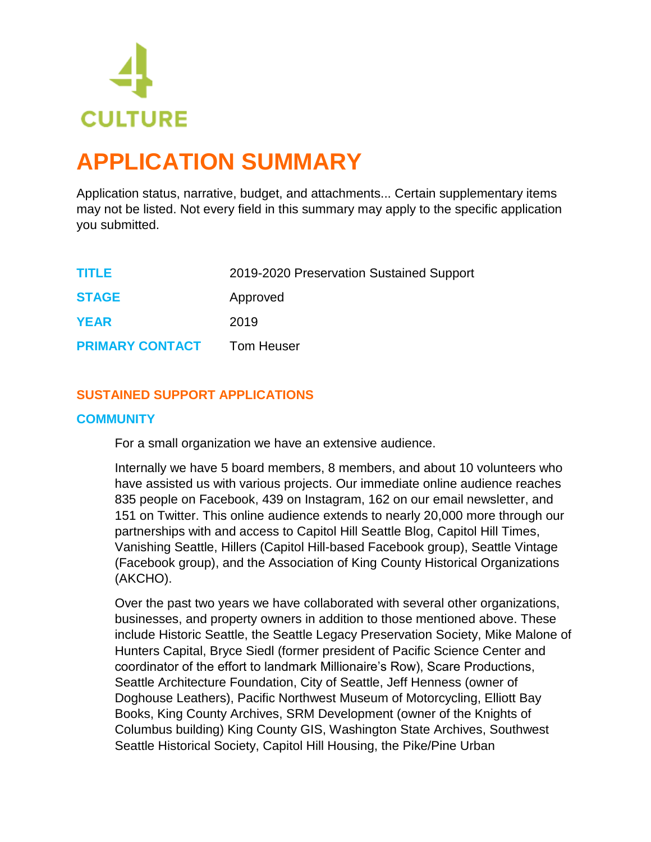

# **APPLICATION SUMMARY**

Application status, narrative, budget, and attachments... Certain supplementary items may not be listed. Not every field in this summary may apply to the specific application you submitted.

| TITLE                  | 2019-2020 Preservation Sustained Support |
|------------------------|------------------------------------------|
| <b>STAGE</b>           | Approved                                 |
| <b>YEAR</b>            | 2019                                     |
| <b>PRIMARY CONTACT</b> | <b>Tom Heuser</b>                        |

# **SUSTAINED SUPPORT APPLICATIONS**

# **COMMUNITY**

For a small organization we have an extensive audience.

Internally we have 5 board members, 8 members, and about 10 volunteers who have assisted us with various projects. Our immediate online audience reaches 835 people on Facebook, 439 on Instagram, 162 on our email newsletter, and 151 on Twitter. This online audience extends to nearly 20,000 more through our partnerships with and access to Capitol Hill Seattle Blog, Capitol Hill Times, Vanishing Seattle, Hillers (Capitol Hill-based Facebook group), Seattle Vintage (Facebook group), and the Association of King County Historical Organizations (AKCHO).

Over the past two years we have collaborated with several other organizations, businesses, and property owners in addition to those mentioned above. These include Historic Seattle, the Seattle Legacy Preservation Society, Mike Malone of Hunters Capital, Bryce Siedl (former president of Pacific Science Center and coordinator of the effort to landmark Millionaire's Row), Scare Productions, Seattle Architecture Foundation, City of Seattle, Jeff Henness (owner of Doghouse Leathers), Pacific Northwest Museum of Motorcycling, Elliott Bay Books, King County Archives, SRM Development (owner of the Knights of Columbus building) King County GIS, Washington State Archives, Southwest Seattle Historical Society, Capitol Hill Housing, the Pike/Pine Urban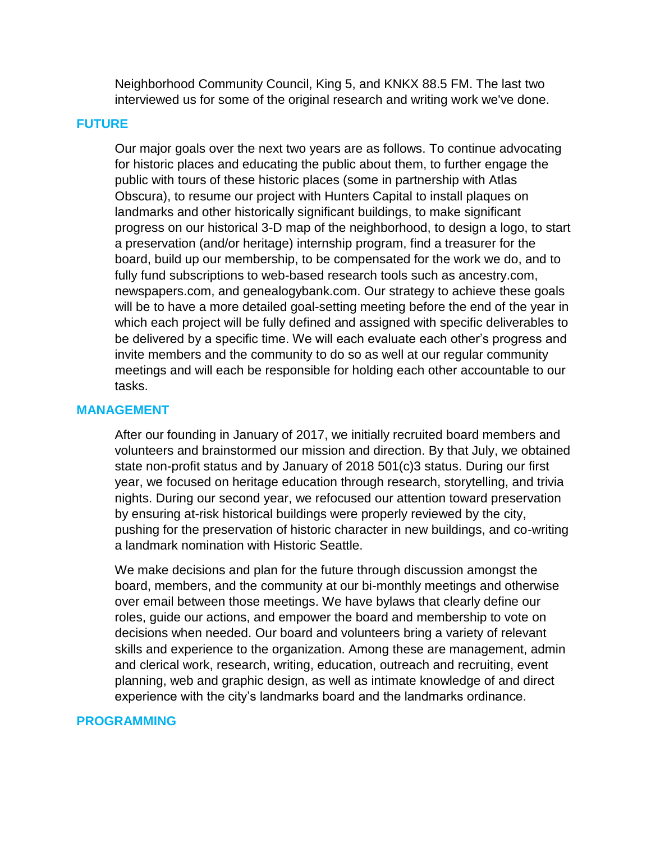Neighborhood Community Council, King 5, and KNKX 88.5 FM. The last two interviewed us for some of the original research and writing work we've done.

### **FUTURE**

Our major goals over the next two years are as follows. To continue advocating for historic places and educating the public about them, to further engage the public with tours of these historic places (some in partnership with Atlas Obscura), to resume our project with Hunters Capital to install plaques on landmarks and other historically significant buildings, to make significant progress on our historical 3-D map of the neighborhood, to design a logo, to start a preservation (and/or heritage) internship program, find a treasurer for the board, build up our membership, to be compensated for the work we do, and to fully fund subscriptions to web-based research tools such as ancestry.com, newspapers.com, and genealogybank.com. Our strategy to achieve these goals will be to have a more detailed goal-setting meeting before the end of the year in which each project will be fully defined and assigned with specific deliverables to be delivered by a specific time. We will each evaluate each other's progress and invite members and the community to do so as well at our regular community meetings and will each be responsible for holding each other accountable to our tasks.

#### **MANAGEMENT**

After our founding in January of 2017, we initially recruited board members and volunteers and brainstormed our mission and direction. By that July, we obtained state non-profit status and by January of 2018 501(c)3 status. During our first year, we focused on heritage education through research, storytelling, and trivia nights. During our second year, we refocused our attention toward preservation by ensuring at-risk historical buildings were properly reviewed by the city, pushing for the preservation of historic character in new buildings, and co-writing a landmark nomination with Historic Seattle.

We make decisions and plan for the future through discussion amongst the board, members, and the community at our bi-monthly meetings and otherwise over email between those meetings. We have bylaws that clearly define our roles, guide our actions, and empower the board and membership to vote on decisions when needed. Our board and volunteers bring a variety of relevant skills and experience to the organization. Among these are management, admin and clerical work, research, writing, education, outreach and recruiting, event planning, web and graphic design, as well as intimate knowledge of and direct experience with the city's landmarks board and the landmarks ordinance.

#### **PROGRAMMING**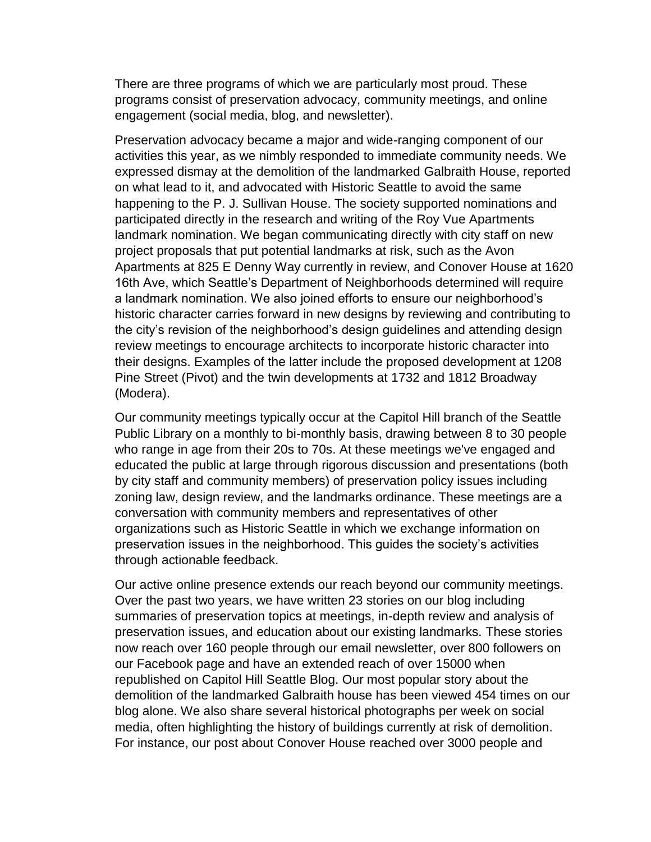There are three programs of which we are particularly most proud. These programs consist of preservation advocacy, community meetings, and online engagement (social media, blog, and newsletter).

Preservation advocacy became a major and wide-ranging component of our activities this year, as we nimbly responded to immediate community needs. We expressed dismay at the demolition of the landmarked Galbraith House, reported on what lead to it, and advocated with Historic Seattle to avoid the same happening to the P. J. Sullivan House. The society supported nominations and participated directly in the research and writing of the Roy Vue Apartments landmark nomination. We began communicating directly with city staff on new project proposals that put potential landmarks at risk, such as the Avon Apartments at 825 E Denny Way currently in review, and Conover House at 1620 16th Ave, which Seattle's Department of Neighborhoods determined will require a landmark nomination. We also joined efforts to ensure our neighborhood's historic character carries forward in new designs by reviewing and contributing to the city's revision of the neighborhood's design guidelines and attending design review meetings to encourage architects to incorporate historic character into their designs. Examples of the latter include the proposed development at 1208 Pine Street (Pivot) and the twin developments at 1732 and 1812 Broadway (Modera).

Our community meetings typically occur at the Capitol Hill branch of the Seattle Public Library on a monthly to bi-monthly basis, drawing between 8 to 30 people who range in age from their 20s to 70s. At these meetings we've engaged and educated the public at large through rigorous discussion and presentations (both by city staff and community members) of preservation policy issues including zoning law, design review, and the landmarks ordinance. These meetings are a conversation with community members and representatives of other organizations such as Historic Seattle in which we exchange information on preservation issues in the neighborhood. This guides the society's activities through actionable feedback.

Our active online presence extends our reach beyond our community meetings. Over the past two years, we have written 23 stories on our blog including summaries of preservation topics at meetings, in-depth review and analysis of preservation issues, and education about our existing landmarks. These stories now reach over 160 people through our email newsletter, over 800 followers on our Facebook page and have an extended reach of over 15000 when republished on Capitol Hill Seattle Blog. Our most popular story about the demolition of the landmarked Galbraith house has been viewed 454 times on our blog alone. We also share several historical photographs per week on social media, often highlighting the history of buildings currently at risk of demolition. For instance, our post about Conover House reached over 3000 people and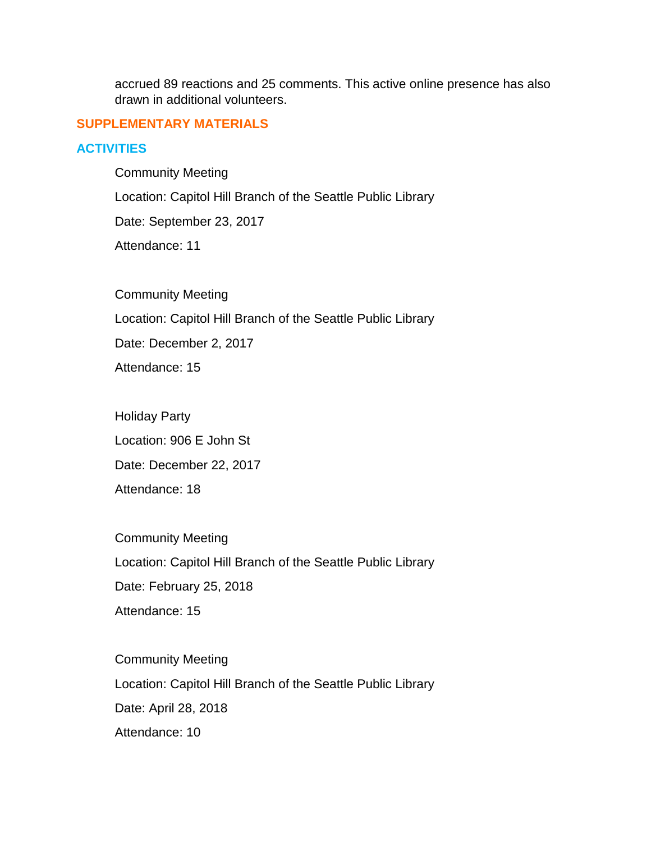accrued 89 reactions and 25 comments. This active online presence has also drawn in additional volunteers.

# **SUPPLEMENTARY MATERIALS**

# **ACTIVITIES**

Community Meeting Location: Capitol Hill Branch of the Seattle Public Library Date: September 23, 2017 Attendance: 11

Community Meeting Location: Capitol Hill Branch of the Seattle Public Library Date: December 2, 2017

Attendance: 15

Holiday Party Location: 906 E John St Date: December 22, 2017 Attendance: 18

Community Meeting Location: Capitol Hill Branch of the Seattle Public Library Date: February 25, 2018 Attendance: 15

Community Meeting Location: Capitol Hill Branch of the Seattle Public Library Date: April 28, 2018 Attendance: 10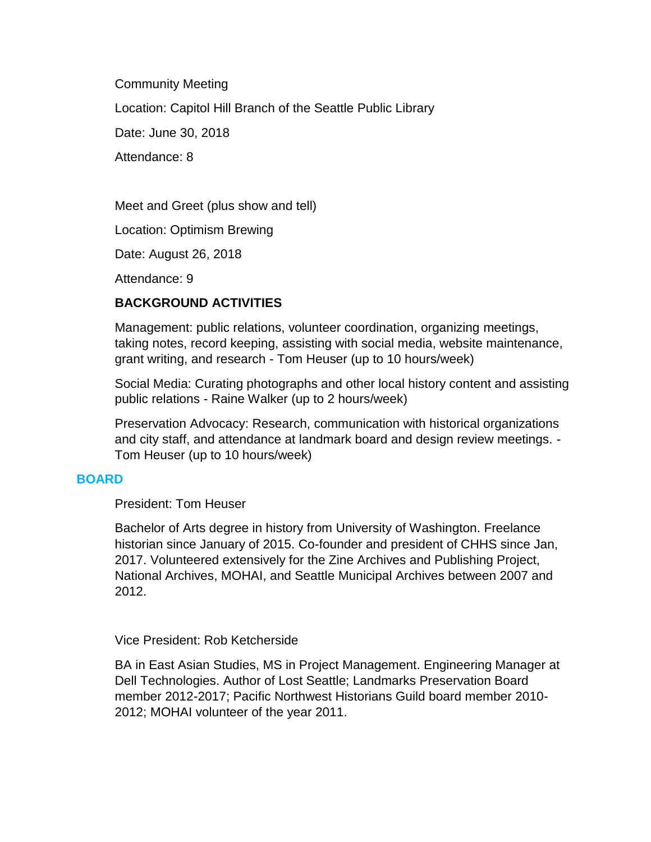Community Meeting Location: Capitol Hill Branch of the Seattle Public Library Date: June 30, 2018 Attendance: 8

Meet and Greet (plus show and tell)

Location: Optimism Brewing

Date: August 26, 2018

Attendance: 9

# **BACKGROUND ACTIVITIES**

Management: public relations, volunteer coordination, organizing meetings, taking notes, record keeping, assisting with social media, website maintenance, grant writing, and research - Tom Heuser (up to 10 hours/week)

Social Media: Curating photographs and other local history content and assisting public relations - Raine Walker (up to 2 hours/week)

Preservation Advocacy: Research, communication with historical organizations and city staff, and attendance at landmark board and design review meetings. - Tom Heuser (up to 10 hours/week)

## **BOARD**

President: Tom Heuser

Bachelor of Arts degree in history from University of Washington. Freelance historian since January of 2015. Co-founder and president of CHHS since Jan, 2017. Volunteered extensively for the Zine Archives and Publishing Project, National Archives, MOHAI, and Seattle Municipal Archives between 2007 and 2012.

## Vice President: Rob Ketcherside

BA in East Asian Studies, MS in Project Management. Engineering Manager at Dell Technologies. Author of Lost Seattle; Landmarks Preservation Board member 2012-2017; Pacific Northwest Historians Guild board member 2010- 2012; MOHAI volunteer of the year 2011.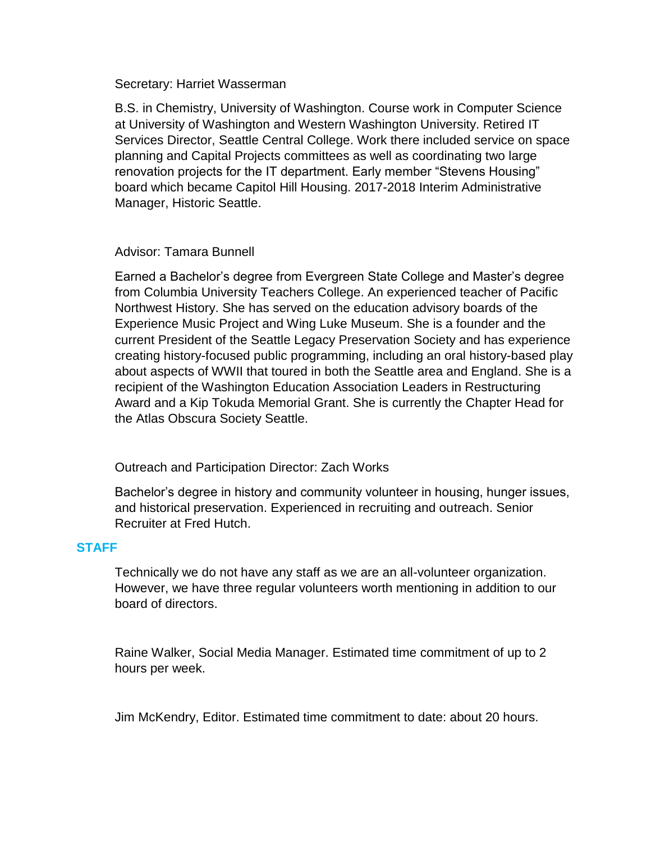#### Secretary: Harriet Wasserman

B.S. in Chemistry, University of Washington. Course work in Computer Science at University of Washington and Western Washington University. Retired IT Services Director, Seattle Central College. Work there included service on space planning and Capital Projects committees as well as coordinating two large renovation projects for the IT department. Early member "Stevens Housing" board which became Capitol Hill Housing. 2017-2018 Interim Administrative Manager, Historic Seattle.

## Advisor: Tamara Bunnell

Earned a Bachelor's degree from Evergreen State College and Master's degree from Columbia University Teachers College. An experienced teacher of Pacific Northwest History. She has served on the education advisory boards of the Experience Music Project and Wing Luke Museum. She is a founder and the current President of the Seattle Legacy Preservation Society and has experience creating history-focused public programming, including an oral history-based play about aspects of WWII that toured in both the Seattle area and England. She is a recipient of the Washington Education Association Leaders in Restructuring Award and a Kip Tokuda Memorial Grant. She is currently the Chapter Head for the Atlas Obscura Society Seattle.

## Outreach and Participation Director: Zach Works

Bachelor's degree in history and community volunteer in housing, hunger issues, and historical preservation. Experienced in recruiting and outreach. Senior Recruiter at Fred Hutch.

## **STAFF**

Technically we do not have any staff as we are an all-volunteer organization. However, we have three regular volunteers worth mentioning in addition to our board of directors.

Raine Walker, Social Media Manager. Estimated time commitment of up to 2 hours per week.

Jim McKendry, Editor. Estimated time commitment to date: about 20 hours.